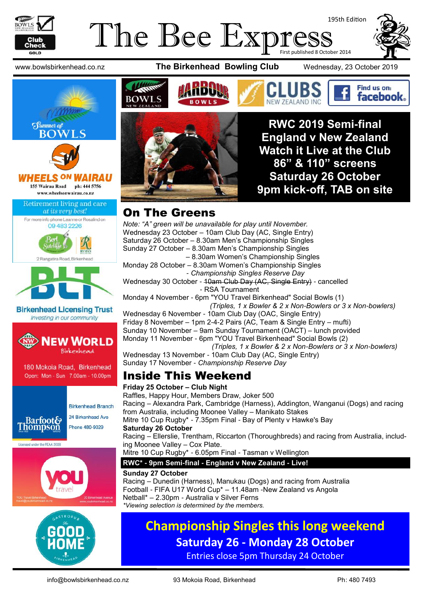

#### The Bee Expre 195th Edition First published 8 October 2014

www.bowlsbirkenhead.co.nz **The Birkenhead Bowling Club** Wednesday, 23 October 2019





**RWC 2019 Semi-final England v New Zealand Watch it Live at the Club 86" & 110" screens Saturday 26 October 9pm kick-off, TAB on site**

Find us on: facebook.

#### On The Greens

*Note: "A" green will be unavailable for play until November.* Wednesday 23 October – 10am Club Day (AC, Single Entry) Saturday 26 October – 8.30am Men's Championship Singles Sunday 27 October – 8.30am Men's Championship Singles – 8.30am Women's Championship Singles Monday 28 October – 8.30am Women's Championship Singles - *Championship Singles Reserve Day* Wednesday 30 October - 10am Club Day (AC, Single Entry) - cancelled - RSA Tournament Monday 4 November - 6pm "YOU Travel Birkenhead" Social Bowls (1)  *(Triples, 1 x Bowler & 2 x Non-Bowlers or 3 x Non-bowlers)* Wednesday 6 November - 10am Club Day (OAC, Single Entry) Friday 8 November – 1pm 2-4-2 Pairs (AC, Team & Single Entry – mufti) Sunday 10 November – 9am Sunday Tournament (OACT) – lunch provided Monday 11 November - 6pm "YOU Travel Birkenhead" Social Bowls (2)  *(Triples, 1 x Bowler & 2 x Non-Bowlers or 3 x Non-bowlers)* Wednesday 13 November - 10am Club Day (AC, Single Entry) Sunday 17 November - *Championship Reserve Day* Inside This Weekend

#### **Friday 25 October – Club Night** Raffles, Happy Hour, Members Draw, Joker 500 Racing – Alexandra Park, Cambridge (Harness), Addington, Wanganui (Dogs) and racing from Australia, including Moonee Valley – Manikato Stakes Mitre 10 Cup Rugby\* - 7.35pm Final - [Bay of Plenty v Hawke's Bay](https://www.ultimaterugby.com/match/bay-of-plenty-vs-hawke%27s-bay-at-tba-25th-oct-2019/81611) **Saturday 26 October** Racing – Ellerslie, Trentham, Riccarton (Thoroughbreds) and racing from Australia, including Moonee Valley – Cox Plate. Mitre 10 Cup Rugby\* - 6.05pm Final - Tasman v Wellington **RWC\* - 9pm Semi-final - England v New Zealand - Live! Sunday 27 October**

Racing – Dunedin (Harness), Manukau (Dogs) and racing from Australia Football - FIFA U17 World Cup\* – 11.48am -New Zealand vs Angola Netball\* – 2.30pm - Australia v Silver Ferns *\*Viewing selection is determined by the members.*

#### **Championship Singles this long weekend Saturday 26 - Monday 28 October** Entries close 5pm Thursday 24 October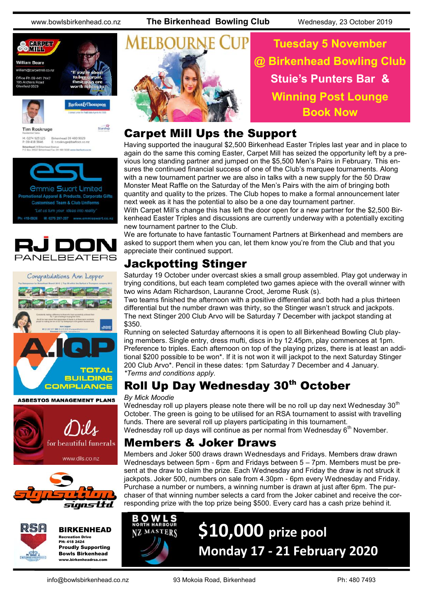www.bowlsbirkenhead.co.nz **The Birkenhead Bowling Club** Wednesday, 23 October 2019





Starship **Tim Roskruge** Birkenhead 09 480 9029<br>E: troskruge@barfoot.co M: 0274 923 125<br>P: 09 418 3846 Birkenhead 24 BH<br>P O Box 34027 BM



M: 0275 297-297 www.emmiesw





**ASBESTOS MANAGEMENT PLANS** 







BIRKENHEAD Recreation Drive PH: 418 2424 Proudly Supporting Bowls Birkenhead

www.birkenheadrsa.com



**Tuesday 5 November @ Birkenhead Bowling Club Stuie's Punters Bar & Winning Post Lounge Book Now**

#### Carpet Mill Ups the Support

Having supported the inaugural \$2,500 Birkenhead Easter Triples last year and in place to again do the same this coming Easter, Carpet Mill has seized the opportunity left by a previous long standing partner and jumped on the \$5,500 Men's Pairs in February. This ensures the continued financial success of one of the Club's marquee tournaments. Along with a new tournament partner we are also in talks with a new supply for the 50 Draw Monster Meat Raffle on the Saturday of the Men's Pairs with the aim of bringing both quantity and quality to the prizes. The Club hopes to make a formal announcement later next week as it has the potential to also be a one day tournament partner.

With Carpet Mill's change this has left the door open for a new partner for the \$2,500 Birkenhead Easter Triples and discussions are currently underway with a potentially exciting new tournament partner to the Club.

We are fortunate to have fantastic Tournament Partners at Birkenhead and members are asked to support them when you can, let them know you're from the Club and that you appreciate their continued support.

### Jackpotting Stinger

Saturday 19 October under overcast skies a small group assembled. Play got underway in trying conditions, but each team completed two games apiece with the overall winner with two wins Adam Richardson, Lauranne Croot, Jerome Rusk (s).

Two teams finished the afternoon with a positive differential and both had a plus thirteen differential but the number drawn was thirty, so the Stinger wasn't struck and jackpots. The next Stinger 200 Club Arvo will be Saturday 7 December with jackpot standing at \$350.

Running on selected Saturday afternoons it is open to all Birkenhead Bowling Club playing members. Single entry, dress mufti, discs in by 12.45pm, play commences at 1pm. Preference to triples. Each afternoon on top of the playing prizes, there is at least an additional \$200 possible to be won\*. If it is not won it will jackpot to the next Saturday Stinger 200 Club Arvo\*. Pencil in these dates: 1pm Saturday 7 December and 4 January. *\*Terms and conditions apply.*

### Roll Up Day Wednesday 30th October

#### *By Mick Moodie*

Wednesday roll up players please note there will be no roll up day next Wednesday  $30<sup>th</sup>$ October. The green is going to be utilised for an RSA tournament to assist with travelling funds. There are several roll up players participating in this tournament. Wednesday roll up days will continue as per normal from Wednesday 6<sup>th</sup> November.

#### Members & Joker Draws

Members and Joker 500 draws drawn Wednesdays and Fridays. Members draw drawn Wednesdays between 5pm - 6pm and Fridays between 5 – 7pm. Members must be present at the draw to claim the prize. Each Wednesday and Friday the draw is not struck it jackpots. Joker 500, numbers on sale from 4.30pm - 6pm every Wednesday and Friday. Purchase a number or numbers, a winning number is drawn at just after 6pm. The purchaser of that winning number selects a card from the Joker cabinet and receive the corresponding prize with the top prize being \$500. Every card has a cash prize behind it.



# **\$10,000 prize pool Monday 17 - 21 February 2020**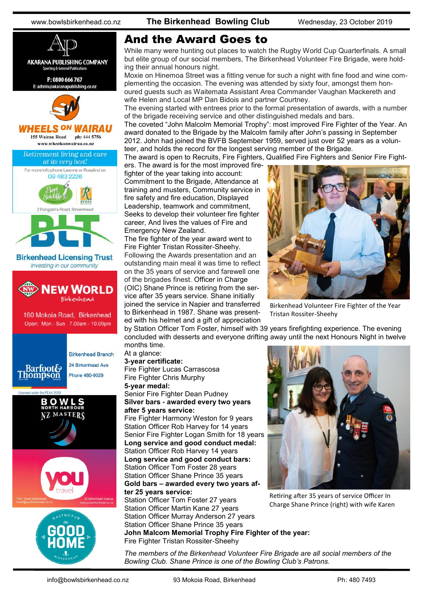

www.bowlsbirkenhead.co.nz **The Birkenhead Bowling Club** Wednesday, 23 October 2019

#### And the Award Goes to

While many were hunting out places to watch the Rugby World Cup Quarterfinals. A small but elite group of our social members, The Birkenhead Volunteer Fire Brigade, were holding their annual honours night.

Moxie on Hinemoa Street was a fitting venue for such a night with fine food and wine complementing the occasion. The evening was attended by sixty four, amongst them honoured guests such as Waitemata Assistant Area Commander Vaughan Mackereth and wife Helen and Local MP [Dan Bidois](https://www.facebook.com/DanBidoisMP/?__tn__=%2CdK%2AF-R&eid=ARBK-s0E42pGx8wXbORI6eHS3Zh-V3blBv-4SF6txCyLFiPEwqZOwi1zUb6P5fQgNqRTLfaWB04Iv2PG) and partner Courtney.

The evening started with entrees prior to the formal presentation of awards, with a number of the brigade receiving service and other distinguished medals and bars.

The coveted "John Malcolm Memorial Trophy": most improved Fire Fighter of the Year. An award donated to the Brigade by the Malcolm family after John's passing in September 2012. John had joined the BVFB September 1959, served just over 52 years as a volunteer, and holds the record for the longest serving member of the Brigade.

The award is open to Recruits, Fire Fighters, Qualified Fire Fighters and Senior Fire Fight-

ers. The award is for the most improved firefighter of the year taking into account: Commitment to the Brigade, Attendance at training and musters, Community service in fire safety and fire education, Displayed Leadership, teamwork and commitment, Seeks to develop their volunteer fire fighter career, And lives the values of Fire and Emergency New Zealand.

The fire fighter of the year award went to Fire Fighter Tristan Rossiter-Sheehy. Following the Awards presentation and an outstanding main meal it was time to reflect on the 35 years of service and farewell one of the brigades finest. Officer in Charge (OIC) Shane Prince is retiring from the service after 35 years service. Shane initially joined the service in Napier and transferred to Birkenhead in 1987. Shane was presented with his helmet and a gift of appreciation



Birkenhead Volunteer Fire Fighter of the Year Tristan Rossiter-Sheehy

by Station Officer Tom Foster, himself with 39 years firefighting experience. The evening concluded with desserts and everyone drifting away until the next Honours Night in twelve months time.

#### At a glance:

**3-year certificate:** Fire Fighter Lucas Carrascosa Fire Fighter Chris Murphy **5-year medal:**

Senior Fire Fighter Dean Pudney **Silver bars - awarded every two years after 5 years service:**

Fire Fighter Harmony Weston for 9 years Station Officer Rob Harvey for 14 years Senior Fire Fighter Logan Smith for 18 years **Long service and good conduct medal:** Station Officer Rob Harvey 14 years **Long service and good conduct bars:** Station Officer Tom Foster 28 years Station Officer Shane Prince 35 years **Gold bars – awarded every two years after 25 years service:**

Station Officer Tom Foster 27 years Station Officer Martin Kane 27 years Station Officer Murray Anderson 27 years Station Officer Shane Prince 35 years **John Malcom Memorial Trophy Fire Fighter of the year:** Fire Fighter Tristan Rossiter-Sheehy



Retiring after 35 years of service Officer In Charge Shane Prince (right) with wife Karen

*The members of the Birkenhead Volunteer Fire Brigade are all social members of the Bowling Club. Shane Prince is one of the Bowling Club's Patrons.*